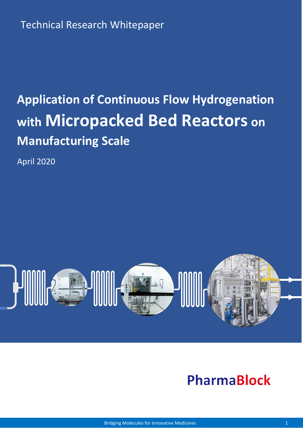# **Application of Continuous Flow Hydrogenation with Micropacked Bed Reactors on Manufacturing Scale**

April 2020



## **PharmaBlock**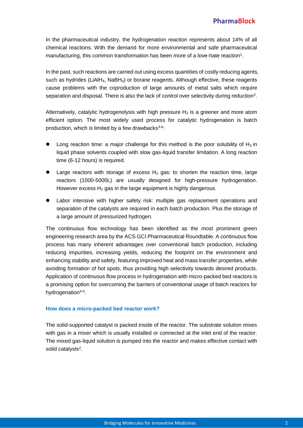In the pharmaceutical industry, the hydrogenation reaction represents about 14% of all chemical reactions. With the demand for more environmental and safe pharmaceutical manufacturing, this common transformation has been more of a love-hate reaction<sup>1</sup>.

In the past, such reactions are carried out using excess quantities of costly reducing agents, such as hydrides (LiAlH4, NaBH4) or borane reagents. Although effective, these reagents cause problems with the coproduction of large amounts of metal salts which require separation and disposal. There is also the lack of control over selectivity during reduction<sup>2</sup>.

Alternatively, catalytic hydrogenolysis with high pressure  $H_2$  is a greener and more atom efficient option. The most widely used process for catalytic hydrogenation is batch production, which is limited by a few drawbacks<sup>3-6</sup>:

- Long reaction time: a major challenge for this method is the poor solubility of  $H_2$  in liquid phase solvents coupled with slow gas-liquid transfer limitation. A long reaction time (6-12 hours) is required.
- Large reactors with storage of excess  $H_2$  gas: to shorten the reaction time, large reactors (1000-5000L) are usually designed for high-pressure hydrogenation. However excess  $H_2$  gas in the large equipment is highly dangerous.
- Labor intensive with higher safety risk: multiple gas replacement operations and separation of the catalysts are required in each batch production. Plus the storage of a large amount of pressurized hydrogen.

The continuous flow technology has been identified as the most prominent green engineering research area by the ACS GCI Pharmaceutical Roundtable. A continuous flow process has many inherent advantages over conventional batch production, including reducing impurities, increasing yields, reducing the footprint on the environment and enhancing stability and safety, featuring improved heat and mass transfer properties, while avoiding formation of hot spots, thus providing high selectivity towards desired products. Application of continuous flow process in hydrogenation with micro-packed bed reactors is a promising option for overcoming the barriers of conventional usage of batch reactors for hydrogenation<sup>4-5</sup>.

#### **How does a micro-packed bed reactor work?**

The solid-supported catalyst is packed inside of the reactor. The substrate solution mixes with gas in a mixer which is usually installed or connected at the inlet end of the reactor. The mixed gas-liquid solution is pumped into the reactor and makes effective contact with solid catalysts<sup>2</sup>.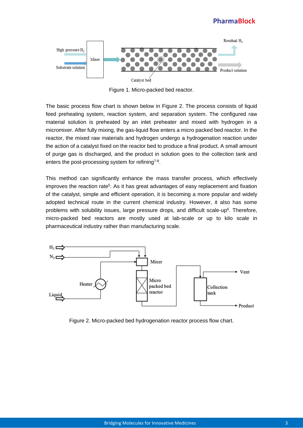#### **PharmaBlock**



Figure 1. Micro-packed bed reactor.

The basic process flow chart is shown below in Figure 2. The process consists of liquid feed preheating system, reaction system, and separation system. The configured raw material solution is preheated by an inlet preheater and mixed with hydrogen in a micromixer. After fully mixing, the gas-liquid flow enters a micro packed bed reactor. In the reactor, the mixed raw materials and hydrogen undergo a hydrogenation reaction under the action of a catalyst fixed on the reactor bed to produce a final product. A small amount of purge gas is discharged, and the product in solution goes to the collection tank and enters the post-processing system for refining<sup>7-8</sup>.

This method can significantly enhance the mass transfer process, which effectively improves the reaction rate<sup>5</sup>. As it has great advantages of easy replacement and fixation of the catalyst, simple and efficient operation, it is becoming a more popular and widely adopted technical route in the current chemical industry. However, it also has some problems with solubility issues, large pressure drops, and difficult scale-up<sup>6</sup>. Therefore, micro-packed bed reactors are mostly used at lab-scale or up to kilo scale in pharmaceutical industry rather than manufacturing scale.



Figure 2. Micro-packed bed hydrogenation reactor process flow chart.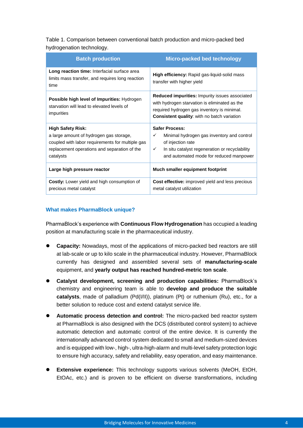Table 1. Comparison between conventional batch production and micro-packed bed hydrogenation technology.

| <b>Batch production</b>                                                                                                                                                              | Micro-packed bed technology                                                                                                                                                                                 |
|--------------------------------------------------------------------------------------------------------------------------------------------------------------------------------------|-------------------------------------------------------------------------------------------------------------------------------------------------------------------------------------------------------------|
| Long reaction time: Interfacial surface area<br>limits mass transfer, and requires long reaction<br>time                                                                             | <b>High efficiency:</b> Rapid gas-liquid-solid mass<br>transfer with higher yield                                                                                                                           |
| Possible high level of Impurities: Hydrogen<br>starvation will lead to elevated levels of<br>impurities                                                                              | <b>Reduced impurities:</b> Impurity issues associated<br>with hydrogen starvation is eliminated as the<br>required hydrogen gas inventory is minimal.<br><b>Consistent quality:</b> with no batch variation |
| <b>High Safety Risk:</b><br>a large amount of hydrogen gas storage,<br>coupled with labor requirements for multiple gas<br>replacement operations and separation of the<br>catalysts | <b>Safer Process:</b><br>Minimal hydrogen gas inventory and control<br>✓<br>of injection rate<br>In situ catalyst regeneration or recyclability<br>$\checkmark$<br>and automated mode for reduced manpower  |
| Large high pressure reactor                                                                                                                                                          | Much smaller equipment footprint                                                                                                                                                                            |
| Costly: Lower yield and high consumption of<br>precious metal catalyst                                                                                                               | <b>Cost effective:</b> improved yield and less precious<br>metal catalyst utilization                                                                                                                       |

#### **What makes PharmaBlock unique?**

PharmaBlock's experience with **Continuous Flow Hydrogenation** has occupied a leading position at manufacturing scale in the pharmaceutical industry.

- **Capacity:** Nowadays, most of the applications of micro-packed bed reactors are still at lab-scale or up to kilo scale in the pharmaceutical industry. However, PharmaBlock currently has designed and assembled several sets of **manufacturing-scale**  equipment, and **yearly output has reached hundred-metric ton scale**.
- **Catalyst development, screening and production capabilities:** PharmaBlock's chemistry and engineering team is able to **develop and produce the suitable catalysts**, made of palladium (Pd(I/II)), platinum (Pt) or ruthenium (Ru), etc., for a better solution to reduce cost and extend catalyst service life.
- **Automatic process detection and control:** The micro-packed bed reactor system at PharmaBlock is also designed with the DCS (distributed control system) to achieve automatic detection and automatic control of the entire device. It is currently the internationally advanced control system dedicated to small and medium-sized devices and is equipped with low-, high-, ultra-high-alarm and multi-level safety protection logic to ensure high accuracy, safety and reliability, easy operation, and easy maintenance.
- **Extensive experience:** This technology supports various solvents (MeOH, EtOH, EtOAc, etc.) and is proven to be efficient on diverse transformations, including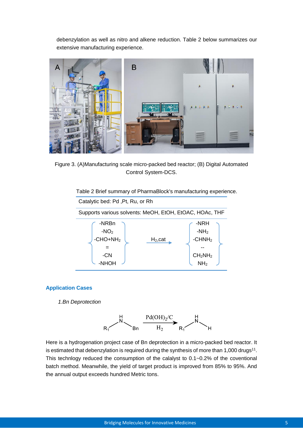debenzylation as well as nitro and alkene reduction. Table 2 below summarizes our extensive manufacturing experience.



Figure 3. (A)Manufacturing scale micro-packed bed reactor; (B) Digital Automated Control System-DCS.

Table 2 Brief summary of PharmaBlock's manufacturing experience.



#### **Application Cases**

*1.Bn Deprotection*



Here is a hydrogenation project case of Bn deprotection in a micro-packed bed reactor. It is estimated that debenzylation is required during the synthesis of more than 1,000 drugs<sup>11</sup>. This technlogy reduced the consumption of the calalyst to 0.1~0.2% of the coventional batch method. Meanwhile, the yield of target product is improved from 85% to 95%. And the annual output exceeds hundred Metric tons.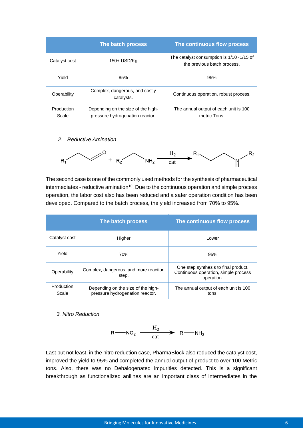|                     | The batch process                                                     | The continuous flow process                                                 |
|---------------------|-----------------------------------------------------------------------|-----------------------------------------------------------------------------|
| Catalyst cost       | 150+ USD/Kg                                                           | The catalyst consumption is $1/10 - 1/15$ of<br>the previous batch process. |
| Yield               | 85%                                                                   | 95%                                                                         |
| Operability         | Complex, dangerous, and costly<br>catalysts.                          | Continuous operation, robust process.                                       |
| Production<br>Scale | Depending on the size of the high-<br>pressure hydrogenation reactor. | The annual output of each unit is 100<br>metric Tons.                       |

*2. Reductive Amination*



The second case is one of the commonly used methods for the synthesis of pharmaceutical  $intermediates - reductive animation<sup>10</sup>. Due to the continuous operation and simple process$ operation, the labor cost also has been reduced and a safer operation condition has been developed. Compared to the batch process, the yield increased from 70% to 95%.

|                     | The batch process                                                     | The continuous flow process                                                                |
|---------------------|-----------------------------------------------------------------------|--------------------------------------------------------------------------------------------|
| Catalyst cost       | Higher                                                                | Lower                                                                                      |
| Yield               | 70%                                                                   | 95%                                                                                        |
| Operability         | Complex, dangerous, and more reaction<br>step.                        | One step synthesis to final product.<br>Continuous operation, simple process<br>operation. |
| Production<br>Scale | Depending on the size of the high-<br>pressure hydrogenation reactor. | The annual output of each unit is 100<br>tons.                                             |

*3. Nitro Reduction*

$$
R \longrightarrow NO_2 \xrightarrow{\qquad H_2} R \longrightarrow N H_2
$$

Last but not least, in the nitro reduction case, PharmaBlock also reduced the catalyst cost, improved the yield to 95% and completed the annual output of product to over 100 Metric tons. Also, there was no Dehalogenated impurities detected. This is a significant breakthrough as functionalized anilines are an important class of intermediates in the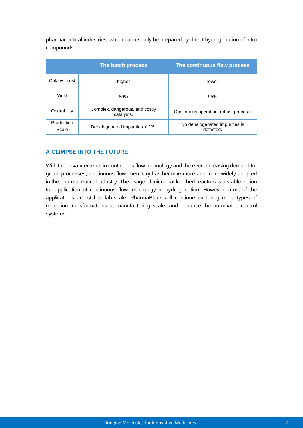pharmaceutical industries, which can usually be prepared by direct hydrogenation of nitro compounds.

|                     | The batch process                            | The continuous flow process                 |
|---------------------|----------------------------------------------|---------------------------------------------|
| Catalyst cost       | higher                                       | lower                                       |
| Yield               | 80%                                          | 95%                                         |
| Operability         | Complex, dangerous, and costly<br>catalysts. | Continuous operation, robust process.       |
| Production<br>Scale | Dehalogenated impurities > 2%.               | No dehalogenated impurities is<br>detected. |

#### **A GLIMPSE INTO THE FUTURE**

With the advancements in continuous flow technology and the ever-increasing demand for green processes, continuous flow chemistry has become more and more widely adopted in the pharmaceutical industry. The usage of micro-packed bed reactors is a viable option for application of continuous flow technology in hydrogenation. However, most of the applications are still at lab-scale. PharmaBlock will continue exploring more types of reduction transformations at manufacturing scale, and enhance the automated control systems.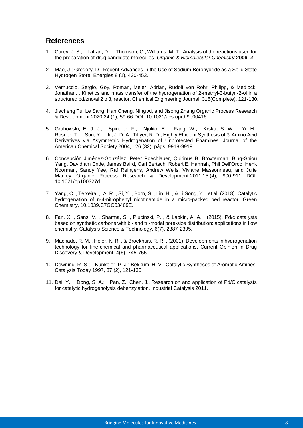#### **References**

- 1. Carey, J. S.; Laffan, D.; Thomson, C.; Williams, M. T., Analysis of the reactions used for the preparation of drug candidate molecules. *Organic & Biomolecular Chemistry* **2006,** *4*.
- 2. Mao, J.; Gregory, D., Recent Advances in the Use of Sodium Borohydride as a Solid State Hydrogen Store. Energies 8 (1), 430-453.
- 3. Vernuccio, Sergio, Goy, Roman, Meier, Adrian, Rudolf von Rohr, Philipp, & Medlock, Jonathan. . Kinetics and mass transfer of the hydrogenation of 2-methyl-3-butyn-2-ol in a structured pd/zno/al 2 o 3, reactor. Chemical Engineering Journal, 316(Complete), 121-130.
- 4. Jiacheng Tu, Le Sang, Han Cheng, Ning Ai, and Jisong Zhang Organic Process Research & Development 2020 24 (1), 59-66 DOI: 10.1021/acs.oprd.9b00416
- 5. Grabowski, E. J. J.; Spindler, F.; Njolito, E.; Fang, W.; Krska, S. W.; Yi, H.; Rosner, T.; Sun, Y.; Iii, J. D. A.; Tillyer, R. D., Highly Efficient Synthesis of ß-Amino Acid Derivatives via Asymmetric Hydrogenation of Unprotected Enamines. Journal of the American Chemical Society 2004, 126 (32), págs. 9918-9919
- 6. Concepción Jiménez-González, Peter Poechlauer, Quirinus B. Broxterman, Bing-Shiou Yang, David am Ende, James Baird, Carl Bertsch, Robert E. Hannah, Phil Dell'Orco, Henk Noorman, Sandy Yee, Raf Reintjens, Andrew Wells, Viviane Massonneau, and Julie Manley Organic Process Research & Development 2011 15 (4), 900-911 DOI: 10.1021/op100327d
- 7. Yang, C. , Teixeira, ,. A. R. , Si, Y. , Born, S. , Lin, H. , & Li Song, Y. , et al. (2018). Catalytic hydrogenation of n-4-nitrophenyl nicotinamide in a micro-packed bed reactor. Green Chemistry, 10.1039.C7GC03469E.
- 8. Fan, X. , Sans, V. , Sharma, S. , Plucinski, P. , & Lapkin, A. A. . (2015). Pd/c catalysts based on synthetic carbons with bi- and tri-modal pore-size distribution: applications in flow chemistry. Catalysis Science & Technology, 6(7), 2387-2395.
- 9. Machado, R. M. , Heier, K. R. , & Broekhuis, R. R. . (2001). Developments in hydrogenation technology for fine-chemical and pharmaceutical applications. Current Opinion in Drug Discovery & Development, 4(6), 745-755.
- 10. Downing, R. S.; Kunkeler, P. J.; Bekkum, H. V., Catalytic Syntheses of Aromatic Amines. Catalysis Today 1997, 37 (2), 121-136.
- 11. Dai, Y.; Dong, S. A.; Pan, Z.; Chen, J., Research on and application of Pd/C catalysts for catalytic hydrogenolysis debenzylation. Industrial Catalysis 2011.